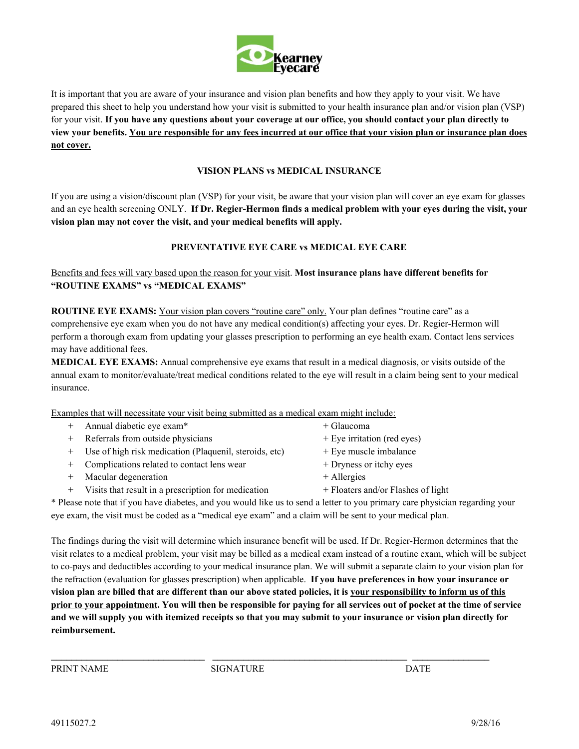

It is important that you are aware of your insurance and vision plan benefits and how they apply to your visit. We have prepared this sheet to help you understand how your visit is submitted to your health insurance plan and/or vision plan (VSP) for your visit. **If you have any questions about your coverage at our office, you should contact your plan directly to view your benefits. You are responsible for any fees incurred at our office that your vision plan or insurance plan does not cover.**

#### **VISION PLANS vs MEDICAL INSURANCE**

If you are using a vision/discount plan (VSP) for your visit, be aware that your vision plan will cover an eye exam for glasses and an eye health screening ONLY. **If Dr. Regier-Hermon finds a medical problem with your eyes during the visit, your vision plan may not cover the visit, and your medical benefits will apply.**

#### **PREVENTATIVE EYE CARE vs MEDICAL EYE CARE**

## Benefits and fees will vary based upon the reason for your visit. **Most insurance plans have different benefits for "ROUTINE EXAMS" vs "MEDICAL EXAMS"**

**ROUTINE EYE EXAMS:** Your vision plan covers "routine care" only. Your plan defines "routine care" as a comprehensive eye exam when you do not have any medical condition(s) affecting your eyes. Dr. Regier-Hermon will perform a thorough exam from updating your glasses prescription to performing an eye health exam. Contact lens services may have additional fees.

**MEDICAL EYE EXAMS:** Annual comprehensive eye exams that result in a medical diagnosis, or visits outside of the annual exam to monitor/evaluate/treat medical conditions related to the eye will result in a claim being sent to your medical insurance.

Examples that will necessitate your visit being submitted as a medical exam might include:

| + Annual diabetic eye exam*                              | + Glaucoma                         |
|----------------------------------------------------------|------------------------------------|
| + Referrals from outside physicians                      | + Eye irritation (red eyes)        |
| + Use of high risk medication (Plaquenil, steroids, etc) | + Eye muscle imbalance             |
| + Complications related to contact lens wear             | + Dryness or itchy eyes            |
| + Macular degeneration                                   | $+$ Allergies                      |
| + Visits that result in a prescription for medication    | + Floaters and/or Flashes of light |

\* Please note that if you have diabetes, and you would like us to send a letter to you primary care physician regarding your eye exam, the visit must be coded as a "medical eye exam" and a claim will be sent to your medical plan.

The findings during the visit will determine which insurance benefit will be used. If Dr. Regier-Hermon determines that the visit relates to a medical problem, your visit may be billed as a medical exam instead of a routine exam, which will be subject to co-pays and deductibles according to your medical insurance plan. We will submit a separate claim to your vision plan for the refraction (evaluation for glasses prescription) when applicable. **If you have preferences in how your insurance or vision plan are billed that are different than our above stated policies, it is your responsibility to inform us of this prior to your appointment. You will then be responsible for paying for all services out of pocket at the time of service and we will supply you with itemized receipts so that you may submit to your insurance or vision plan directly for reimbursement.**

\_\_\_\_\_\_\_\_\_\_\_\_\_\_\_\_\_\_\_\_\_\_\_\_\_\_\_\_\_\_ \_\_\_\_\_\_\_\_\_\_\_\_\_\_\_\_\_\_\_\_\_\_\_\_\_\_\_\_\_\_\_\_\_\_\_\_\_\_ \_\_\_\_\_\_\_\_\_\_\_\_\_\_\_

PRINT NAME SIGNATURE DATE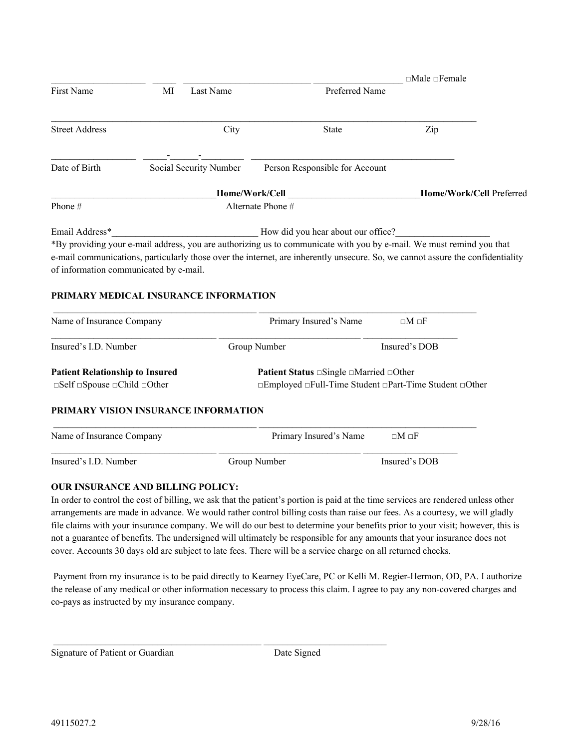|                                                                 |    |                        |                                                                                                                                                                                                                                                        |  | $\square$ Male $\square$ Female |  |
|-----------------------------------------------------------------|----|------------------------|--------------------------------------------------------------------------------------------------------------------------------------------------------------------------------------------------------------------------------------------------------|--|---------------------------------|--|
| <b>First Name</b>                                               | MI | Last Name              | Preferred Name                                                                                                                                                                                                                                         |  |                                 |  |
| <b>Street Address</b>                                           |    | City                   | <b>State</b>                                                                                                                                                                                                                                           |  | Zip                             |  |
| Date of Birth                                                   |    | Social Security Number | Person Responsible for Account                                                                                                                                                                                                                         |  |                                 |  |
|                                                                 |    |                        | Home/Work/Cell                                                                                                                                                                                                                                         |  | Home/Work/Cell Preferred        |  |
| Phone#                                                          |    |                        | Alternate Phone #                                                                                                                                                                                                                                      |  |                                 |  |
| Email Address*                                                  |    |                        | How did you hear about our office?                                                                                                                                                                                                                     |  |                                 |  |
| of information communicated by e-mail.                          |    |                        | *By providing your e-mail address, you are authorizing us to communicate with you by e-mail. We must remind you that<br>e-mail communications, particularly those over the internet, are inherently unsecure. So, we cannot assure the confidentiality |  |                                 |  |
| PRIMARY MEDICAL INSURANCE INFORMATION                           |    |                        |                                                                                                                                                                                                                                                        |  |                                 |  |
| Name of Insurance Company                                       |    |                        | Primary Insured's Name                                                                                                                                                                                                                                 |  | $\Box M \Box F$                 |  |
| Insured's I.D. Number                                           |    |                        | Group Number                                                                                                                                                                                                                                           |  | Insured's DOB                   |  |
| <b>Patient Relationship to Insured</b>                          |    |                        | <b>Patient Status</b> □ Single □ Married □ Other                                                                                                                                                                                                       |  |                                 |  |
| $\square$ Self $\square$ Spouse $\square$ Child $\square$ Other |    |                        | □Employed □Full-Time Student □Part-Time Student □Other                                                                                                                                                                                                 |  |                                 |  |
| PRIMARY VISION INSURANCE INFORMATION                            |    |                        |                                                                                                                                                                                                                                                        |  |                                 |  |
| Name of Insurance Company                                       |    |                        | Primary Insured's Name                                                                                                                                                                                                                                 |  | $\square M \square F$           |  |
|                                                                 |    |                        |                                                                                                                                                                                                                                                        |  |                                 |  |

Insured's I.D. Number Group Number Insured's DOB

## **OUR INSURANCE AND BILLING POLICY:**

In order to control the cost of billing, we ask that the patient's portion is paid at the time services are rendered unless other arrangements are made in advance. We would rather control billing costs than raise our fees. As a courtesy, we will gladly file claims with your insurance company. We will do our best to determine your benefits prior to your visit; however, this is not a guarantee of benefits. The undersigned will ultimately be responsible for any amounts that your insurance does not cover. Accounts 30 days old are subject to late fees. There will be a service charge on all returned checks.

 Payment from my insurance is to be paid directly to Kearney EyeCare, PC or Kelli M. Regier-Hermon, OD, PA. I authorize the release of any medical or other information necessary to process this claim. I agree to pay any non-covered charges and co-pays as instructed by my insurance company.

\_\_\_\_\_\_\_\_\_\_\_\_\_\_\_\_\_\_\_\_\_\_\_\_\_\_\_\_\_\_\_\_\_\_\_\_\_\_\_\_\_\_\_\_ \_\_\_\_\_\_\_\_\_\_\_\_\_\_\_\_\_\_\_\_\_\_\_\_\_\_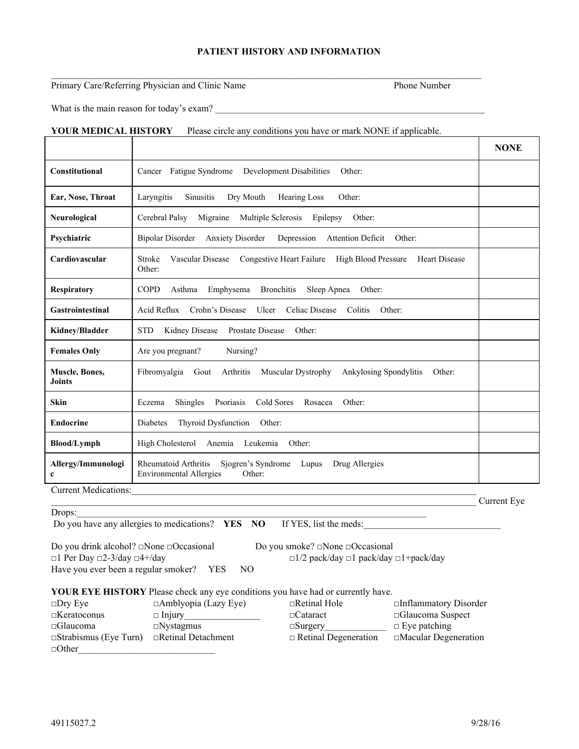## **PATIENT HISTORY AND INFORMATION**

 $\mathcal{L}_\mathcal{L} = \{ \mathcal{L}_\mathcal{L} = \{ \mathcal{L}_\mathcal{L} = \{ \mathcal{L}_\mathcal{L} = \{ \mathcal{L}_\mathcal{L} = \{ \mathcal{L}_\mathcal{L} = \{ \mathcal{L}_\mathcal{L} = \{ \mathcal{L}_\mathcal{L} = \{ \mathcal{L}_\mathcal{L} = \{ \mathcal{L}_\mathcal{L} = \{ \mathcal{L}_\mathcal{L} = \{ \mathcal{L}_\mathcal{L} = \{ \mathcal{L}_\mathcal{L} = \{ \mathcal{L}_\mathcal{L} = \{ \mathcal{L}_\mathcal{$ 

#### Primary Care/Referring Physician and Clinic Name Phone Number

What is the main reason for today's exam? \_\_\_\_\_\_\_\_\_\_\_\_\_\_\_\_\_\_\_\_\_\_\_\_\_\_\_\_\_\_\_\_\_\_\_\_\_\_\_\_\_\_\_\_\_\_\_\_\_\_\_\_\_\_\_\_\_

#### **YOUR MEDICAL HISTORY** Please circle any conditions you have or mark NONE if applicable.

|                                   |                                                                                                                               | <b>NONE</b> |
|-----------------------------------|-------------------------------------------------------------------------------------------------------------------------------|-------------|
| <b>Constitutional</b>             | Fatigue Syndrome<br>Development Disabilities<br>Other:<br>Cancer                                                              |             |
| Ear, Nose, Throat                 | Laryngitis<br>Dry Mouth<br>Hearing Loss<br>Other:<br><b>Sinusitis</b>                                                         |             |
| Neurological                      | Cerebral Palsy<br>Migraine<br>Multiple Sclerosis<br>Epilepsy<br>Other:                                                        |             |
| Psychiatric                       | <b>Bipolar Disorder</b><br><b>Anxiety Disorder</b><br><b>Attention Deficit</b><br>Other:<br>Depression                        |             |
| Cardiovascular                    | <b>Stroke</b><br>Vascular Disease<br>Congestive Heart Failure<br><b>High Blood Pressure</b><br><b>Heart Disease</b><br>Other: |             |
| <b>Respiratory</b>                | <b>COPD</b><br>Asthma<br>Emphysema<br><b>Bronchitis</b><br>Sleep Apnea<br>Other:                                              |             |
| <b>Gastrointestinal</b>           | Acid Reflux<br>Crohn's Disease<br>Celiac Disease<br>Ulcer<br>Colitis<br>Other:                                                |             |
| Kidney/Bladder                    | <b>Prostate Disease</b><br><b>STD</b><br>Kidney Disease<br>Other:                                                             |             |
| <b>Females Only</b>               | Are you pregnant?<br>Nursing?                                                                                                 |             |
| Muscle, Bones,<br><b>Joints</b>   | Fibromyalgia<br>Gout<br>Arthritis<br>Muscular Dystrophy<br><b>Ankylosing Spondylitis</b><br>Other:                            |             |
| <b>Skin</b>                       | Cold Sores<br>Other:<br>Shingles<br>Psoriasis<br>Rosacea<br>Eczema                                                            |             |
| <b>Endocrine</b>                  | Thyroid Dysfunction<br>Other:<br>Diabetes                                                                                     |             |
| <b>Blood/Lymph</b>                | High Cholesterol<br>Anemia<br>Leukemia<br>Other:                                                                              |             |
| Allergy/Immunologi<br>$\mathbf c$ | Rheumatoid Arthritis<br>Sjogren's Syndrome<br>Lupus<br>Drug Allergies<br><b>Environmental Allergies</b><br>Other:             |             |
| <b>Current Medications:</b>       |                                                                                                                               |             |

| . |
|---|
|   |

Do you have any allergies to medications? **YES NO** If YES, list the meds:

Do you drink alcohol? □None □Occasional Do you smoke? □None □Occasional □1 Per Day □2-3/day □4+/day □1/2 pack/day □1 pack/day □1+pack/day Have you ever been a regular smoker? YES NO

#### **YOUR EYE HISTORY** Please check any eye conditions you have had or currently have.

| $\square$ Dry Eye            | $\Box$ Amblyopia (Lazy Eye) | $\Box$ Retinal Hole         | $\Box$ Inflammatory Disorder |
|------------------------------|-----------------------------|-----------------------------|------------------------------|
| $\Box$ Keratoconus           | $\Box$ Injury               | $\Box$ Cataract             | $\square$ Glaucoma Suspect   |
| $\Box$ Glaucoma              | $\Box$ Nystagmus            | $\square$ Surgery           | $\Box$ Eve patching          |
| $\Box$ Strabismus (Eye Turn) | $\Box$ Retinal Detachment   | $\Box$ Retinal Degeneration | $\Box$ Macular Degeneration  |
| $\Box$ Other                 |                             |                             |                              |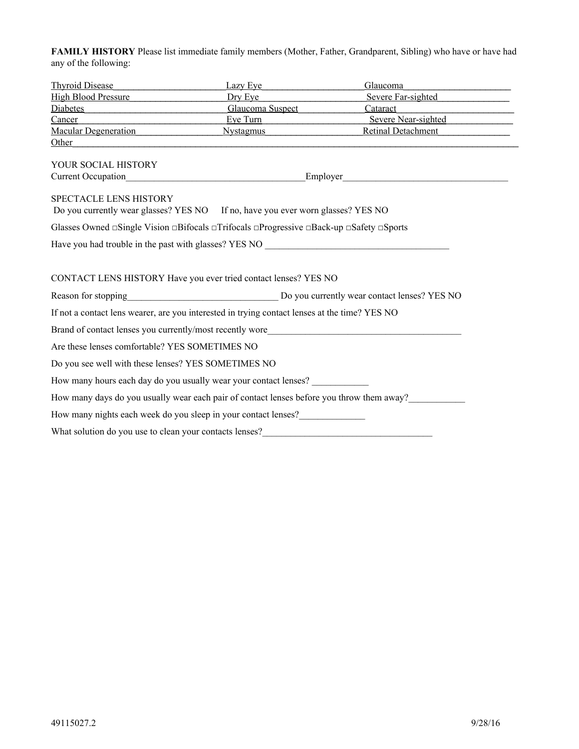**FAMILY HISTORY** Please list immediate family members (Mother, Father, Grandparent, Sibling) who have or have had any of the following:

| <b>Thyroid Disease</b>                                  | Lazy Eve                                                                                                                          | Glaucoma                                                                                  |
|---------------------------------------------------------|-----------------------------------------------------------------------------------------------------------------------------------|-------------------------------------------------------------------------------------------|
| <b>High Blood Pressure</b>                              | Dry Eye                                                                                                                           | Severe Far-sighted                                                                        |
| Diabetes                                                | <b>Glaucoma Suspect</b>                                                                                                           | Cataract<br>the control of the control of the control of                                  |
| Cancer                                                  | Eye Turn                                                                                                                          | Severe Near-sighted                                                                       |
| Macular Degeneration                                    | <b>Nystagmus</b>                                                                                                                  | <b>Retinal Detachment</b>                                                                 |
| <b>Other</b>                                            |                                                                                                                                   |                                                                                           |
| YOUR SOCIAL HISTORY                                     |                                                                                                                                   |                                                                                           |
|                                                         |                                                                                                                                   |                                                                                           |
| SPECTACLE LENS HISTORY                                  | Do you currently wear glasses? YES NO If no, have you ever worn glasses? YES NO                                                   |                                                                                           |
|                                                         | Glasses Owned $\Box$ Single Vision $\Box$ Bifocals $\Box$ Trifocals $\Box$ Progressive $\Box$ Back-up $\Box$ Safety $\Box$ Sports |                                                                                           |
|                                                         | Have you had trouble in the past with glasses? YES NO ___________________________                                                 |                                                                                           |
|                                                         |                                                                                                                                   |                                                                                           |
|                                                         |                                                                                                                                   |                                                                                           |
|                                                         | CONTACT LENS HISTORY Have you ever tried contact lenses? YES NO                                                                   |                                                                                           |
|                                                         |                                                                                                                                   |                                                                                           |
|                                                         | If not a contact lens wearer, are you interested in trying contact lenses at the time? YES NO                                     |                                                                                           |
|                                                         | Brand of contact lenses you currently/most recently wore                                                                          |                                                                                           |
| Are these lenses comfortable? YES SOMETIMES NO          |                                                                                                                                   |                                                                                           |
| Do you see well with these lenses? YES SOMETIMES NO     |                                                                                                                                   |                                                                                           |
|                                                         | How many hours each day do you usually wear your contact lenses?                                                                  |                                                                                           |
|                                                         |                                                                                                                                   | How many days do you usually wear each pair of contact lenses before you throw them away? |
|                                                         | How many nights each week do you sleep in your contact lenses?                                                                    |                                                                                           |
| What solution do you use to clean your contacts lenses? |                                                                                                                                   |                                                                                           |